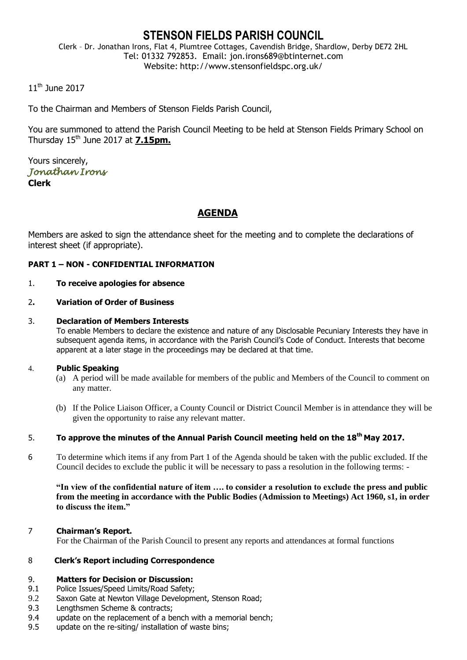# **STENSON FIELDS PARISH COUNCIL**

Clerk – Dr. Jonathan Irons, Flat 4, Plumtree Cottages, Cavendish Bridge, Shardlow, Derby DE72 2HL Tel: 01332 792853. Email: jon.irons689@btinternet.com Website: http://www.stensonfieldspc.org.uk/

# 11th June 2017

To the Chairman and Members of Stenson Fields Parish Council,

You are summoned to attend the Parish Council Meeting to be held at Stenson Fields Primary School on Thursday  $15<sup>th</sup>$  June 2017 at  $7.15$ pm.

Yours sincerely, *Jonathan Irons*  **Clerk**

# **AGENDA**

Members are asked to sign the attendance sheet for the meeting and to complete the declarations of interest sheet (if appropriate).

## **PART 1 – NON - CONFIDENTIAL INFORMATION**

#### 1. **To receive apologies for absence**

#### 2**. Variation of Order of Business**

#### 3. **Declaration of Members Interests**

To enable Members to declare the existence and nature of any Disclosable Pecuniary Interests they have in subsequent agenda items, in accordance with the Parish Council's Code of Conduct. Interests that become apparent at a later stage in the proceedings may be declared at that time.

#### 4. **Public Speaking**

- (a) A period will be made available for members of the public and Members of the Council to comment on any matter.
- (b) If the Police Liaison Officer, a County Council or District Council Member is in attendance they will be given the opportunity to raise any relevant matter.

# 5. **To approve the minutes of the Annual Parish Council meeting held on the 18th May 2017.**

6 To determine which items if any from Part 1 of the Agenda should be taken with the public excluded. If the Council decides to exclude the public it will be necessary to pass a resolution in the following terms: -

**"In view of the confidential nature of item …. to consider a resolution to exclude the press and public from the meeting in accordance with the Public Bodies (Admission to Meetings) Act 1960, s1, in order to discuss the item."** 

#### 7 **Chairman's Report.**

For the Chairman of the Parish Council to present any reports and attendances at formal functions

#### 8 **Clerk's Report including Correspondence**

#### 9. **Matters for Decision or Discussion:**

- 9.1 Police Issues/Speed Limits/Road Safety;
- 9.2 Saxon Gate at Newton Village Development, Stenson Road;
- 9.3 Lengthsmen Scheme & contracts;
- 9.4 update on the replacement of a bench with a memorial bench;
- 9.5 update on the re-siting/ installation of waste bins;